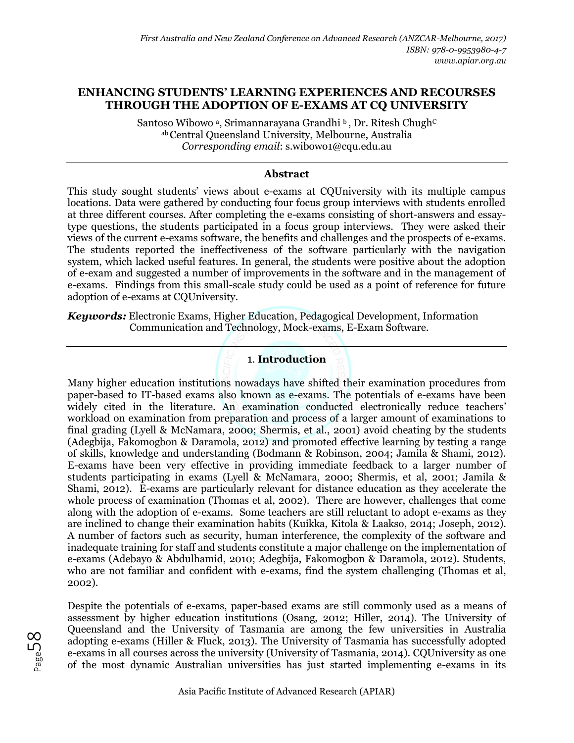### **ENHANCING STUDENTS' LEARNING EXPERIENCES AND RECOURSES THROUGH THE ADOPTION OF E-EXAMS AT CQ UNIVERSITY**

Santoso Wibowo ª, Srimannarayana Grandhi ʰ, Dr. Ritesh Chugh<sup>c</sup> abCentral Queensland University, Melbourne, Australia *Corresponding email*: s.wibowo1@cqu.edu.au

#### **Abstract**

This study sought students' views about e-exams at CQUniversity with its multiple campus locations. Data were gathered by conducting four focus group interviews with students enrolled at three different courses. After completing the e-exams consisting of short-answers and essaytype questions, the students participated in a focus group interviews. They were asked their views of the current e-exams software, the benefits and challenges and the prospects of e-exams. The students reported the ineffectiveness of the software particularly with the navigation system, which lacked useful features. In general, the students were positive about the adoption of e-exam and suggested a number of improvements in the software and in the management of e-exams. Findings from this small-scale study could be used as a point of reference for future adoption of e-exams at CQUniversity.

*Keywords:* Electronic Exams, Higher Education, Pedagogical Development, Information Communication and Technology, Mock-exams, E-Exam Software.

# 1. **Introduction**

Many higher education institutions nowadays have shifted their examination procedures from paper-based to IT-based exams also known as e-exams. The potentials of e-exams have been widely cited in the literature. An examination conducted electronically reduce teachers' workload on examination from preparation and process of a larger amount of examinations to final grading (Lyell & McNamara, 2000; Shermis, et al., 2001) avoid cheating by the students (Adegbija, Fakomogbon & Daramola, 2012) and promoted effective learning by testing a range of skills, knowledge and understanding (Bodmann & Robinson, 2004; Jamila & Shami, 2012). E-exams have been very effective in providing immediate feedback to a larger number of students participating in exams (Lyell & McNamara, 2000; Shermis, et al, 2001; Jamila & Shami, 2012). E-exams are particularly relevant for distance education as they accelerate the whole process of examination (Thomas et al, 2002). There are however, challenges that come along with the adoption of e-exams. Some teachers are still reluctant to adopt e-exams as they are inclined to change their examination habits (Kuikka, Kitola & Laakso, 2014; Joseph, 2012). A number of factors such as security, human interference, the complexity of the software and inadequate training for staff and students constitute a major challenge on the implementation of e-exams (Adebayo & Abdulhamid, 2010; Adegbija, Fakomogbon & Daramola, 2012). Students, who are not familiar and confident with e-exams, find the system challenging (Thomas et al, 2002).

Despite the potentials of e-exams, paper-based exams are still commonly used as a means of assessment by higher education institutions (Osang, 2012; Hiller, 2014). The University of Queensland and the University of Tasmania are among the few universities in Australia adopting e-exams (Hiller & Fluck, 2013). The University of Tasmania has successfully adopted e-exams in all courses across the university (University of Tasmania, 2014). CQUniversity as one of the most dynamic Australian universities has just started implementing e-exams in its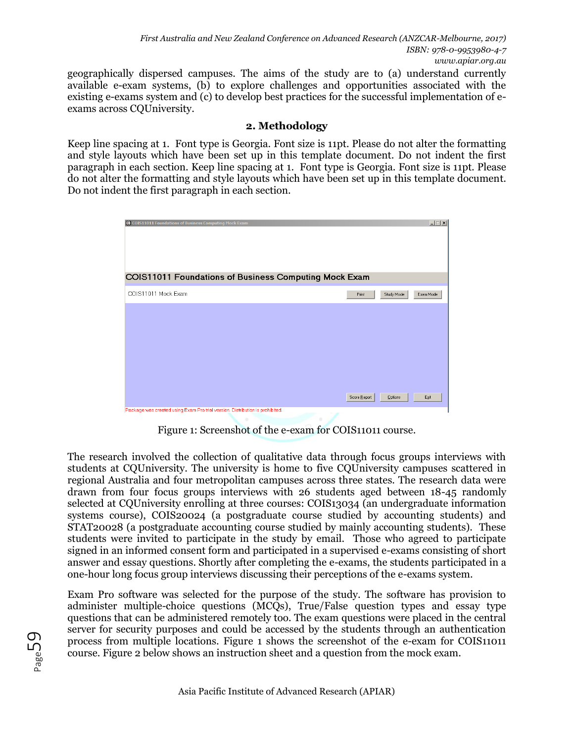geographically dispersed campuses. The aims of the study are to (a) understand currently available e-exam systems, (b) to explore challenges and opportunities associated with the existing e-exams system and (c) to develop best practices for the successful implementation of eexams across CQUniversity.

### **2. Methodology**

Keep line spacing at 1. Font type is Georgia. Font size is 11pt. Please do not alter the formatting and style layouts which have been set up in this template document. Do not indent the first paragraph in each section. Keep line spacing at 1. Font type is Georgia. Font size is 11pt. Please do not alter the formatting and style layouts which have been set up in this template document. Do not indent the first paragraph in each section.



Figure 1: Screenshot of the e-exam for COIS11011 course.

The research involved the collection of qualitative data through focus groups interviews with students at CQUniversity. The university is home to five CQUniversity campuses scattered in regional Australia and four metropolitan campuses across three states. The research data were drawn from four focus groups interviews with 26 students aged between 18-45 randomly selected at CQUniversity enrolling at three courses: COIS13034 (an undergraduate information systems course), COIS20024 (a postgraduate course studied by accounting students) and STAT20028 (a postgraduate accounting course studied by mainly accounting students). These students were invited to participate in the study by email. Those who agreed to participate signed in an informed consent form and participated in a supervised e-exams consisting of short answer and essay questions. Shortly after completing the e-exams, the students participated in a one-hour long focus group interviews discussing their perceptions of the e-exams system.

Exam Pro software was selected for the purpose of the study. The software has provision to administer multiple-choice questions (MCQs), True/False question types and essay type questions that can be administered remotely too. The exam questions were placed in the central server for security purposes and could be accessed by the students through an authentication process from multiple locations. Figure 1 shows the screenshot of the e-exam for COIS11011 course. Figure 2 below shows an instruction sheet and a question from the mock exam.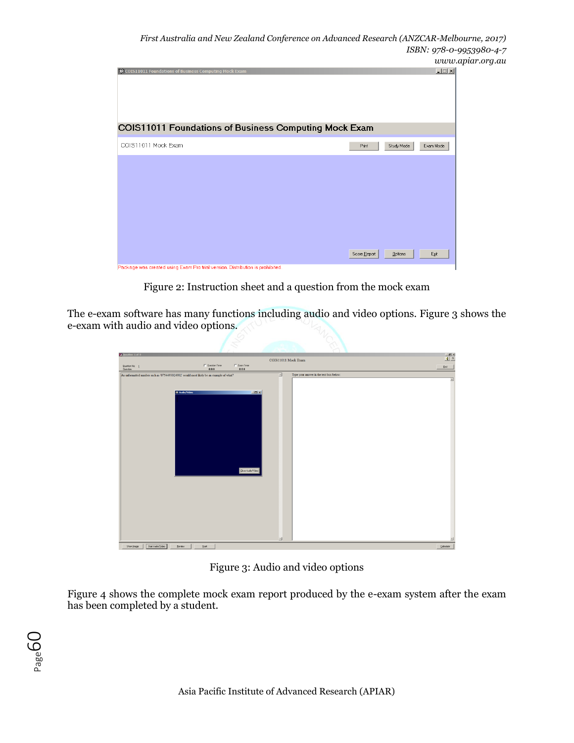

Figure 2: Instruction sheet and a question from the mock exam

The e-exam software has many functions including audio and video options. Figure 3 shows the e-exam with audio and video options.

| <b>M</b> Question 1 of 9                                                               |                      |                                | COIS11011 Mock Exam        |                                         | $\frac{- S  \times}{ S }$ |            |
|----------------------------------------------------------------------------------------|----------------------|--------------------------------|----------------------------|-----------------------------------------|---------------------------|------------|
| Question No: 1<br>Question:                                                            |                      | $\Box$ Question Timer<br>0:0:0 | $\Box$ Exam Timer<br>0.0.0 |                                         |                           | End        |
| An unformatted number such as '0754493024902' would most likely be an example of what? |                      |                                | 세                          | Type your answer in the text box below: |                           |            |
|                                                                                        |                      |                                |                            |                                         |                           | 츼          |
|                                                                                        | <b>M Audio/Video</b> |                                | $L = 1$                    |                                         |                           |            |
|                                                                                        |                      |                                |                            |                                         |                           |            |
|                                                                                        |                      |                                |                            |                                         |                           |            |
|                                                                                        |                      |                                |                            |                                         |                           |            |
|                                                                                        |                      |                                |                            |                                         |                           |            |
|                                                                                        |                      |                                |                            |                                         |                           |            |
|                                                                                        |                      |                                |                            |                                         |                           |            |
|                                                                                        |                      |                                |                            |                                         |                           |            |
|                                                                                        |                      |                                |                            |                                         |                           |            |
|                                                                                        |                      |                                | Close Audio/Video          |                                         |                           |            |
|                                                                                        |                      |                                |                            |                                         |                           |            |
|                                                                                        |                      |                                |                            |                                         |                           |            |
|                                                                                        |                      |                                |                            |                                         |                           |            |
|                                                                                        |                      |                                |                            |                                         |                           |            |
|                                                                                        |                      |                                |                            |                                         |                           |            |
|                                                                                        |                      |                                |                            |                                         |                           |            |
|                                                                                        |                      |                                |                            |                                         |                           |            |
|                                                                                        |                      |                                |                            | 뇌                                       |                           | E          |
| Stat Audio/Video<br>Show (mage                                                         | $E$ eview            | N <sub>ext</sub>               |                            |                                         |                           | Calculator |

Figure 3: Audio and video options

Figure 4 shows the complete mock exam report produced by the e-exam system after the exam has been completed by a student.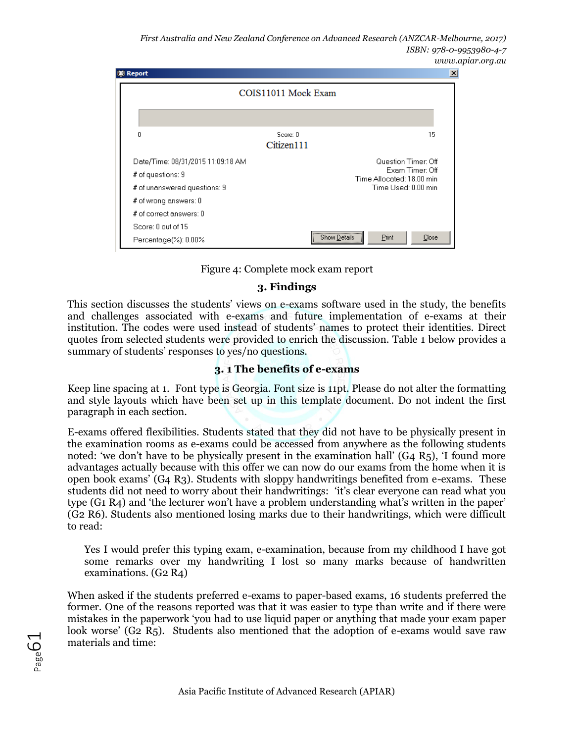*First Australia and New Zealand Conference on Advanced Research (ANZCAR-Melbourne, 2017) ISBN: 978-0-9953980-4-7 www.apiar.org.au* 



Figure 4: Complete mock exam report

#### **3. Findings**

This section discusses the students' views on e-exams software used in the study, the benefits and challenges associated with e-exams and future implementation of e-exams at their institution. The codes were used instead of students' names to protect their identities. Direct quotes from selected students were provided to enrich the discussion. Table 1 below provides a summary of students' responses to yes/no questions.

## **3. 1 The benefits of e-exams**

Keep line spacing at 1. Font type is Georgia. Font size is 11pt. Please do not alter the formatting and style layouts which have been set up in this template document. Do not indent the first paragraph in each section.

E-exams offered flexibilities. Students stated that they did not have to be physically present in the examination rooms as e-exams could be accessed from anywhere as the following students noted: 'we don't have to be physically present in the examination hall'  $(G_4 \t R_5)$ , 'I found more advantages actually because with this offer we can now do our exams from the home when it is open book exams' (G4 R3). Students with sloppy handwritings benefited from e-exams. These students did not need to worry about their handwritings: 'it's clear everyone can read what you type (G1 R4) and 'the lecturer won't have a problem understanding what's written in the paper' (G2 R6). Students also mentioned losing marks due to their handwritings, which were difficult to read:

Yes I would prefer this typing exam, e-examination, because from my childhood I have got some remarks over my handwriting I lost so many marks because of handwritten examinations. (G2 R4)

When asked if the students preferred e-exams to paper-based exams, 16 students preferred the former. One of the reasons reported was that it was easier to type than write and if there were mistakes in the paperwork 'you had to use liquid paper or anything that made your exam paper look worse' (G2 R5). Students also mentioned that the adoption of e-exams would save raw materials and time:

Page<sup>G</sup>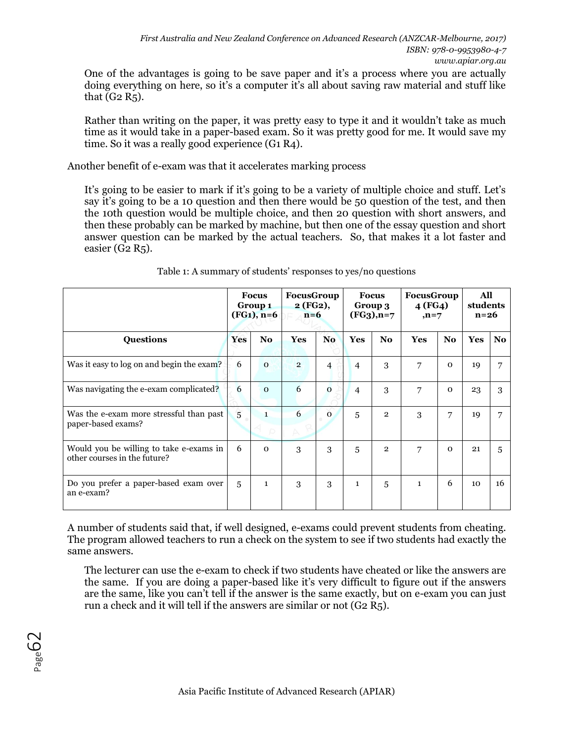One of the advantages is going to be save paper and it's a process where you are actually doing everything on here, so it's a computer it's all about saving raw material and stuff like that  $(G2 R_5)$ .

Rather than writing on the paper, it was pretty easy to type it and it wouldn't take as much time as it would take in a paper-based exam. So it was pretty good for me. It would save my time. So it was a really good experience (G1 R4).

Another benefit of e-exam was that it accelerates marking process

It's going to be easier to mark if it's going to be a variety of multiple choice and stuff. Let's say it's going to be a 10 question and then there would be 50 question of the test, and then the 10th question would be multiple choice, and then 20 question with short answers, and then these probably can be marked by machine, but then one of the essay question and short answer question can be marked by the actual teachers. So, that makes it a lot faster and easier (G2  $R_5$ ).

|                                                                         |            | <b>Focus</b><br>Group 1<br>$(FG1), n=6$ |                | FocusGroup<br>2(FG2),<br>$n=6$ |                | <b>Focus</b><br>Group 3<br>$(FG_3)$ , n=7 |              | <b>FocusGroup</b><br>4 (FG4)<br>$,n=7$ |                 | All<br>students<br>$n=26$ |  |
|-------------------------------------------------------------------------|------------|-----------------------------------------|----------------|--------------------------------|----------------|-------------------------------------------|--------------|----------------------------------------|-----------------|---------------------------|--|
| <b>Questions</b>                                                        | <b>Yes</b> | No.                                     | <b>Yes</b>     | No.                            | <b>Yes</b>     | N <sub>o</sub>                            | <b>Yes</b>   | No.                                    | <b>Yes</b>      | No.                       |  |
| Was it easy to log on and begin the exam?                               |            | $\Omega$                                | $\overline{2}$ | 4                              | $\overline{4}$ | 3                                         | 7            | $\Omega$                               | 19              |                           |  |
| Was navigating the e-exam complicated?                                  |            | $\Omega$                                | 6              | $\overline{0}$                 | 4              | 3                                         | 7            | $\Omega$                               | 23              | 3                         |  |
| Was the e-exam more stressful than past<br>paper-based exams?           |            | $\mathbf{1}$                            | 6              | $\mathbf{o}$                   | 5              | $\overline{2}$                            | 3            | 7                                      | 19              |                           |  |
| Would you be willing to take e-exams in<br>other courses in the future? |            | $\Omega$                                | 3              | 3                              | 5              | $\overline{2}$                            | 7            | $\Omega$                               | 21              | 5.                        |  |
| Do you prefer a paper-based exam over<br>an e-exam?                     |            | $\mathbf{1}$                            | 3              | 3                              | $\mathbf{1}$   | 5                                         | $\mathbf{1}$ | 6                                      | 10 <sup>2</sup> | 16                        |  |

#### Table 1: A summary of students' responses to yes/no questions

A number of students said that, if well designed, e-exams could prevent students from cheating. The program allowed teachers to run a check on the system to see if two students had exactly the same answers.

The lecturer can use the e-exam to check if two students have cheated or like the answers are the same. If you are doing a paper-based like it's very difficult to figure out if the answers are the same, like you can't tell if the answer is the same exactly, but on e-exam you can just run a check and it will tell if the answers are similar or not  $(G2 R_5)$ .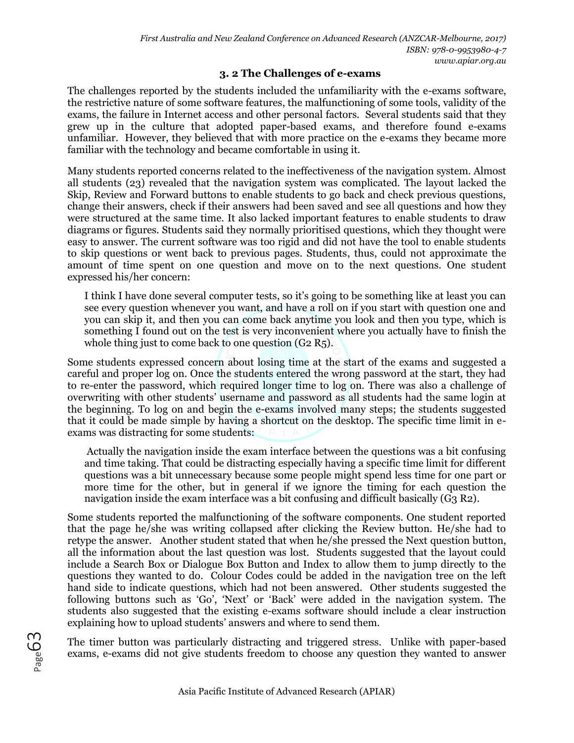#### **3. 2 The Challenges of e-exams**

The challenges reported by the students included the unfamiliarity with the e-exams software, the restrictive nature of some software features, the malfunctioning of some tools, validity of the exams, the failure in Internet access and other personal factors. Several students said that they grew up in the culture that adopted paper-based exams, and therefore found e-exams unfamiliar. However, they believed that with more practice on the e-exams they became more familiar with the technology and became comfortable in using it.

Many students reported concerns related to the ineffectiveness of the navigation system. Almost all students (23) revealed that the navigation system was complicated. The layout lacked the Skip, Review and Forward buttons to enable students to go back and check previous questions, change their answers, check if their answers had been saved and see all questions and how they were structured at the same time. It also lacked important features to enable students to draw diagrams or figures. Students said they normally prioritised questions, which they thought were easy to answer. The current software was too rigid and did not have the tool to enable students to skip questions or went back to previous pages. Students, thus, could not approximate the amount of time spent on one question and move on to the next questions. One student expressed his/her concern:

I think I have done several computer tests, so it's going to be something like at least you can see every question whenever you want, and have a roll on if you start with question one and you can skip it, and then you can come back anytime you look and then you type, which is something I found out on the test is very inconvenient where you actually have to finish the whole thing just to come back to one question (G2 R5).

Some students expressed concern about losing time at the start of the exams and suggested a careful and proper log on. Once the students entered the wrong password at the start, they had to re-enter the password, which required longer time to log on. There was also a challenge of overwriting with other students' username and password as all students had the same login at the beginning. To log on and begin the e-exams involved many steps; the students suggested that it could be made simple by having a shortcut on the desktop. The specific time limit in eexams was distracting for some students:

Actually the navigation inside the exam interface between the questions was a bit confusing and time taking. That could be distracting especially having a specific time limit for different questions was a bit unnecessary because some people might spend less time for one part or more time for the other, but in general if we ignore the timing for each question the navigation inside the exam interface was a bit confusing and difficult basically (G3 R2).

Some students reported the malfunctioning of the software components. One student reported that the page he/she was writing collapsed after clicking the Review button. He/she had to retype the answer. Another student stated that when he/she pressed the Next question button, all the information about the last question was lost. Students suggested that the layout could include a Search Box or Dialogue Box Button and Index to allow them to jump directly to the questions they wanted to do. Colour Codes could be added in the navigation tree on the left hand side to indicate questions, which had not been answered. Other students suggested the following buttons such as 'Go', 'Next' or 'Back' were added in the navigation system. The students also suggested that the existing e-exams software should include a clear instruction explaining how to upload students' answers and where to send them.

The timer button was particularly distracting and triggered stress. Unlike with paper-based exams, e-exams did not give students freedom to choose any question they wanted to answer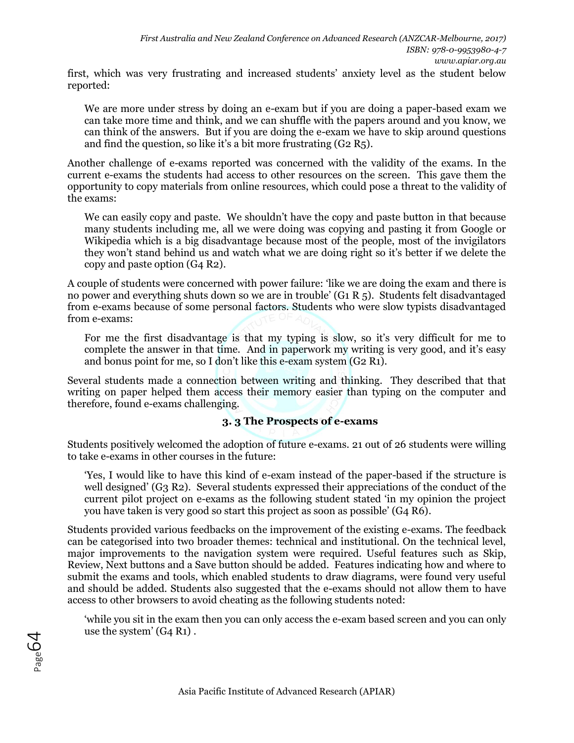first, which was very frustrating and increased students' anxiety level as the student below reported:

We are more under stress by doing an e-exam but if you are doing a paper-based exam we can take more time and think, and we can shuffle with the papers around and you know, we can think of the answers. But if you are doing the e-exam we have to skip around questions and find the question, so like it's a bit more frustrating (G2 R5).

Another challenge of e-exams reported was concerned with the validity of the exams. In the current e-exams the students had access to other resources on the screen. This gave them the opportunity to copy materials from online resources, which could pose a threat to the validity of the exams:

We can easily copy and paste. We shouldn't have the copy and paste button in that because many students including me, all we were doing was copying and pasting it from Google or Wikipedia which is a big disadvantage because most of the people, most of the invigilators they won't stand behind us and watch what we are doing right so it's better if we delete the copy and paste option (G4 R2).

A couple of students were concerned with power failure: 'like we are doing the exam and there is no power and everything shuts down so we are in trouble' (G1 R 5). Students felt disadvantaged from e-exams because of some personal factors. Students who were slow typists disadvantaged from e-exams:

For me the first disadvantage is that my typing is slow, so it's very difficult for me to complete the answer in that time. And in paperwork my writing is very good, and it's easy and bonus point for me, so I don't like this e-exam system (G2 R1).

Several students made a connection between writing and thinking. They described that that writing on paper helped them access their memory easier than typing on the computer and therefore, found e-exams challenging.

#### **3. 3 The Prospects of e-exams**

Students positively welcomed the adoption of future e-exams. 21 out of 26 students were willing to take e-exams in other courses in the future:

'Yes, I would like to have this kind of e-exam instead of the paper-based if the structure is well designed' (G3 R2). Several students expressed their appreciations of the conduct of the current pilot project on e-exams as the following student stated 'in my opinion the project you have taken is very good so start this project as soon as possible' (G4 R6).

Students provided various feedbacks on the improvement of the existing e-exams. The feedback can be categorised into two broader themes: technical and institutional. On the technical level, major improvements to the navigation system were required. Useful features such as Skip, Review, Next buttons and a Save button should be added. Features indicating how and where to submit the exams and tools, which enabled students to draw diagrams, were found very useful and should be added. Students also suggested that the e-exams should not allow them to have access to other browsers to avoid cheating as the following students noted:

'while you sit in the exam then you can only access the e-exam based screen and you can only use the system' (G4 R1) .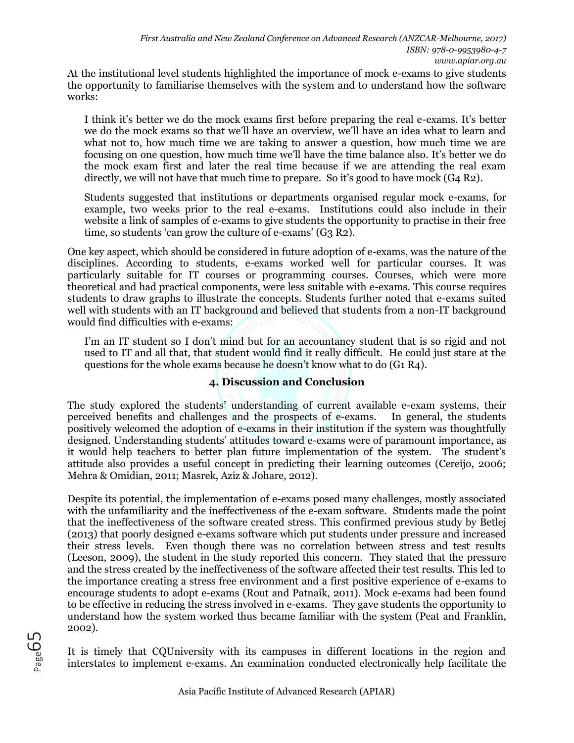At the institutional level students highlighted the importance of mock e-exams to give students the opportunity to familiarise themselves with the system and to understand how the software works:

I think it's better we do the mock exams first before preparing the real e-exams. It's better we do the mock exams so that we'll have an overview, we'll have an idea what to learn and what not to, how much time we are taking to answer a question, how much time we are focusing on one question, how much time we'll have the time balance also. It's better we do the mock exam first and later the real time because if we are attending the real exam directly, we will not have that much time to prepare. So it's good to have mock  $(G_4 R_2)$ .

Students suggested that institutions or departments organised regular mock e-exams, for example, two weeks prior to the real e-exams. Institutions could also include in their website a link of samples of e-exams to give students the opportunity to practise in their free time, so students 'can grow the culture of e-exams'  $(G_3 R_2)$ .

One key aspect, which should be considered in future adoption of e-exams, was the nature of the disciplines. According to students, e-exams worked well for particular courses. It was particularly suitable for IT courses or programming courses. Courses, which were more theoretical and had practical components, were less suitable with e-exams. This course requires students to draw graphs to illustrate the concepts. Students further noted that e-exams suited well with students with an IT background and believed that students from a non-IT background would find difficulties with e-exams:

I'm an IT student so I don't mind but for an accountancy student that is so rigid and not used to IT and all that, that student would find it really difficult. He could just stare at the questions for the whole exams because he doesn't know what to do (G1 R4).

## **4. Discussion and Conclusion**

The study explored the students' understanding of current available e-exam systems, their perceived benefits and challenges and the prospects of e-exams. In general, the students positively welcomed the adoption of e-exams in their institution if the system was thoughtfully designed. Understanding students' attitudes toward e-exams were of paramount importance, as it would help teachers to better plan future implementation of the system. The student's attitude also provides a useful concept in predicting their learning outcomes (Cereijo, 2006; Mehra & Omidian, 2011; Masrek, Aziz & Johare, 2012).

Despite its potential, the implementation of e-exams posed many challenges, mostly associated with the unfamiliarity and the ineffectiveness of the e-exam software. Students made the point that the ineffectiveness of the software created stress. This confirmed previous study by Betlej (2013) that poorly designed e-exams software which put students under pressure and increased their stress levels. Even though there was no correlation between stress and test results (Leeson, 2009), the student in the study reported this concern. They stated that the pressure and the stress created by the ineffectiveness of the software affected their test results. This led to the importance creating a stress free environment and a first positive experience of e-exams to encourage students to adopt e-exams (Rout and Patnaik, 2011). Mock e-exams had been found to be effective in reducing the stress involved in e-exams. They gave students the opportunity to understand how the system worked thus became familiar with the system (Peat and Franklin, 2002).

It is timely that CQUniversity with its campuses in different locations in the region and interstates to implement e-exams. An examination conducted electronically help facilitate the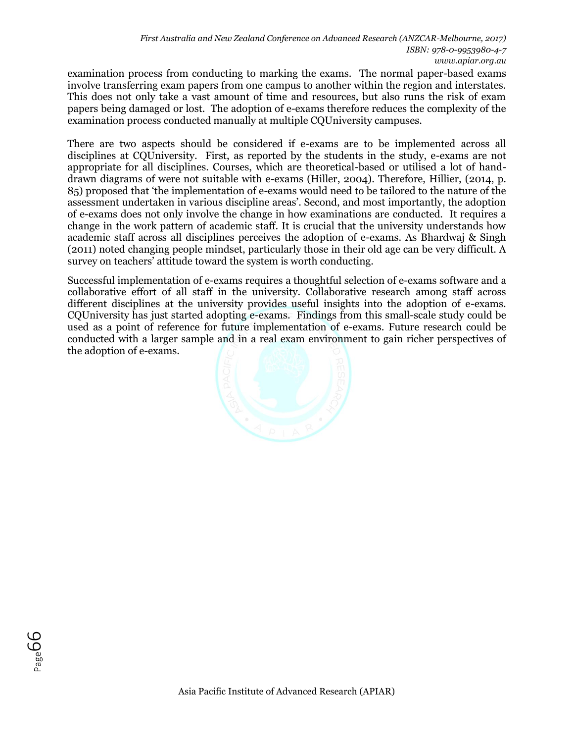examination process from conducting to marking the exams. The normal paper-based exams involve transferring exam papers from one campus to another within the region and interstates. This does not only take a vast amount of time and resources, but also runs the risk of exam papers being damaged or lost. The adoption of e-exams therefore reduces the complexity of the examination process conducted manually at multiple CQUniversity campuses.

There are two aspects should be considered if e-exams are to be implemented across all disciplines at CQU niversity. First, as reported by the students in the study, e-exams are not appropriate for all disciplines. Courses, which are theoretical-based or utilised a lot of handdrawn diagrams of were not suitable with e-exams (Hiller, 2004). Therefore, Hillier, (2014, p. 85) proposed that 'the implementation of e-exams would need to be tailored to the nature of the assessment undertaken in various discipline areas'. Second, and most importantly, the adoption of e-exams does not only involve the change in how examinations are conducted. It requires a change in the work pattern of academic staff. It is crucial that the university understands how academic staff across all disciplines perceives the adoption of e-exams. As Bhardwaj & Singh (2011) noted changing people mindset, particularly those in their old age can be very difficult. A survey on teachers' attitude toward the system is worth conducting.

Successful implementation of e-exams requires a thoughtful selection of e-exams software and a collaborative effort of all staff in the university. Collaborative research among staff across different disciplines at the university provides useful insights into the adoption of e-exams. CQUniversity has just started adopting e-exams. Findings from this small-scale study could be used as a point of reference for future implementation of e-exams. Future research could be conducted with a larger sample and in a real exam environment to gain richer perspectives of the adoption of e-exams.



Page**GG**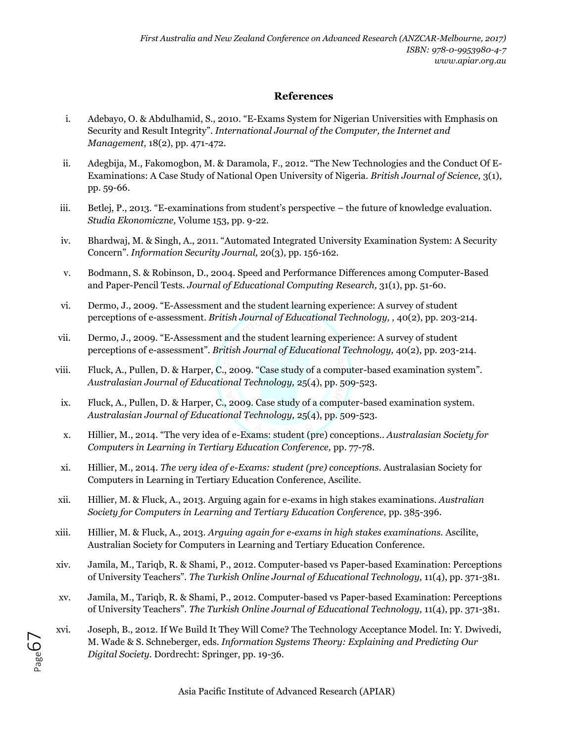### **References**

- i. Adebayo, O. & Abdulhamid, S., 2010. "E-Exams System for Nigerian Universities with Emphasis on Security and Result Integrity". *International Journal of the Computer, the Internet and Management,* 18(2), pp. 471-472.
- ii. Adegbija, M., Fakomogbon, M. & Daramola, F., 2012. "The New Technologies and the Conduct Of E-Examinations: A Case Study of National Open University of Nigeria. *British Journal of Science,* 3(1), pp. 59-66.
- iii. Betlej, P., 2013. "E-examinations from student's perspective the future of knowledge evaluation. *Studia Ekonomiczne,* Volume 153, pp. 9-22.
- iv. Bhardwaj, M. & Singh, A., 2011. "Automated Integrated University Examination System: A Security Concern". *Information Security Journal,* 20(3), pp. 156-162.
- v. Bodmann, S. & Robinson, D., 2004. Speed and Performance Differences among Computer-Based and Paper-Pencil Tests. *Journal of Educational Computing Research,* 31(1), pp. 51-60.
- vi. Dermo, J., 2009. "E-Assessment and the student learning experience: A survey of student perceptions of e-assessment. *British Journal of Educational Technology, ,* 40(2), pp. 203-214.
- vii. Dermo, J., 2009. "E-Assessment and the student learning experience: A survey of student perceptions of e-assessment". *British Journal of Educational Technology,* 40(2), pp. 203-214.
- viii. Fluck, A., Pullen, D. & Harper, C., 2009. "Case study of a computer-based examination system". *Australasian Journal of Educational Technology,* 25(4), pp. 509-523.
- ix. Fluck, A., Pullen, D. & Harper, C., 2009. Case study of a computer-based examination system. *Australasian Journal of Educational Technology,* 25(4), pp. 509-523.
- x. Hillier, M., 2014. "The very idea of e-Exams: student (pre) conceptions.. *Australasian Society for Computers in Learning in Tertiary Education Conference,* pp. 77-78.
- xi. Hillier, M., 2014. *The very idea of e-Exams: student (pre) conceptions.* Australasian Society for Computers in Learning in Tertiary Education Conference, Ascilite.
- xii. Hillier, M. & Fluck, A., 2013. Arguing again for e-exams in high stakes examinations. *Australian Society for Computers in Learning and Tertiary Education Conference,* pp. 385-396.
- xiii. Hillier, M. & Fluck, A., 2013. *Arguing again for e-exams in high stakes examinations.* Ascilite, Australian Society for Computers in Learning and Tertiary Education Conference.
- xiv. Jamila, M., Tariqb, R. & Shami, P., 2012. Computer-based vs Paper-based Examination: Perceptions of University Teachers". *The Turkish Online Journal of Educational Technology,* 11(4), pp. 371-381.
- xv. Jamila, M., Tariqb, R. & Shami, P., 2012. Computer-based vs Paper-based Examination: Perceptions of University Teachers". *The Turkish Online Journal of Educational Technology,* 11(4), pp. 371-381.
- xvi. Joseph, B., 2012. If We Build It They Will Come? The Technology Acceptance Model. In: Y. Dwivedi, M. Wade & S. Schneberger, eds. *Information Systems Theory: Explaining and Predicting Our Digital Society.* Dordrecht: Springer, pp. 19-36.

Page 67